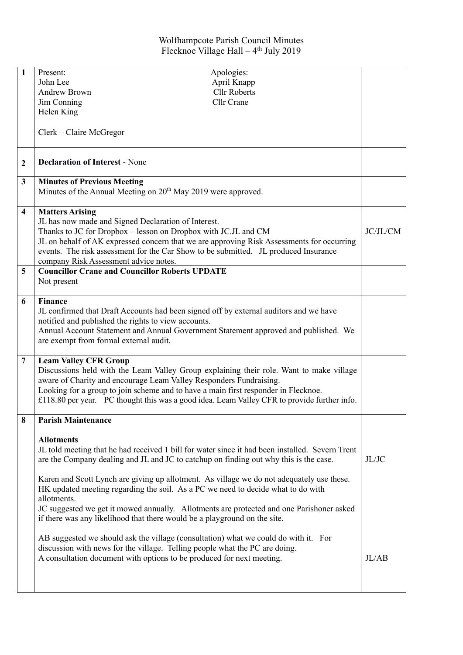## Wolfhampcote Parish Council Minutes Flecknoe Village Hall - 4<sup>th</sup> July 2019

| 1                       | Present:                                                                                                                                                           | Apologies:          |                    |  |
|-------------------------|--------------------------------------------------------------------------------------------------------------------------------------------------------------------|---------------------|--------------------|--|
|                         | John Lee                                                                                                                                                           | April Knapp         |                    |  |
|                         | <b>Andrew Brown</b>                                                                                                                                                | <b>Cllr Roberts</b> |                    |  |
|                         | Jim Conning                                                                                                                                                        | Cllr Crane          |                    |  |
|                         | Helen King                                                                                                                                                         |                     |                    |  |
|                         |                                                                                                                                                                    |                     |                    |  |
|                         | Clerk – Claire McGregor                                                                                                                                            |                     |                    |  |
| $\mathbf{2}$            | <b>Declaration of Interest - None</b>                                                                                                                              |                     |                    |  |
| 3                       | <b>Minutes of Previous Meeting</b>                                                                                                                                 |                     |                    |  |
|                         | Minutes of the Annual Meeting on 20 <sup>th</sup> May 2019 were approved.                                                                                          |                     |                    |  |
| $\overline{\mathbf{4}}$ | <b>Matters Arising</b>                                                                                                                                             |                     |                    |  |
|                         | JL has now made and Signed Declaration of Interest.                                                                                                                |                     |                    |  |
|                         | Thanks to JC for Dropbox - lesson on Dropbox with JC.JL and CM                                                                                                     |                     | JC/JL/CM           |  |
|                         | JL on behalf of AK expressed concern that we are approving Risk Assessments for occurring                                                                          |                     |                    |  |
|                         | events. The risk assessment for the Car Show to be submitted. JL produced Insurance                                                                                |                     |                    |  |
| 5                       | company Risk Assessment advice notes.<br><b>Councillor Crane and Councillor Roberts UPDATE</b>                                                                     |                     |                    |  |
|                         | Not present                                                                                                                                                        |                     |                    |  |
| 6                       | <b>Finance</b>                                                                                                                                                     |                     |                    |  |
|                         | JL confirmed that Draft Accounts had been signed off by external auditors and we have                                                                              |                     |                    |  |
|                         | notified and published the rights to view accounts.                                                                                                                |                     |                    |  |
|                         | Annual Account Statement and Annual Government Statement approved and published. We                                                                                |                     |                    |  |
|                         | are exempt from formal external audit.                                                                                                                             |                     |                    |  |
|                         |                                                                                                                                                                    |                     |                    |  |
| $\overline{7}$          | <b>Leam Valley CFR Group</b>                                                                                                                                       |                     |                    |  |
|                         | Discussions held with the Leam Valley Group explaining their role. Want to make village                                                                            |                     |                    |  |
|                         | aware of Charity and encourage Leam Valley Responders Fundraising.                                                                                                 |                     |                    |  |
|                         | Looking for a group to join scheme and to have a main first responder in Flecknoe.                                                                                 |                     |                    |  |
|                         | £118.80 per year. PC thought this was a good idea. Leam Valley CFR to provide further info.                                                                        |                     |                    |  |
| 8                       | <b>Parish Maintenance</b>                                                                                                                                          |                     |                    |  |
|                         | <b>Allotments</b>                                                                                                                                                  |                     |                    |  |
|                         | JL told meeting that he had received 1 bill for water since it had been installed. Severn Trent                                                                    |                     |                    |  |
|                         | are the Company dealing and JL and JC to catchup on finding out why this is the case.                                                                              |                     | JL/JC              |  |
|                         | Karen and Scott Lynch are giving up allotment. As village we do not adequately use these.                                                                          |                     |                    |  |
|                         | HK updated meeting regarding the soil. As a PC we need to decide what to do with                                                                                   |                     |                    |  |
|                         | allotments.                                                                                                                                                        |                     |                    |  |
|                         | JC suggested we get it mowed annually. Allotments are protected and one Parishoner asked                                                                           |                     |                    |  |
|                         | if there was any likelihood that there would be a playground on the site.                                                                                          |                     |                    |  |
|                         | AB suggested we should ask the village (consultation) what we could do with it. For<br>discussion with news for the village. Telling people what the PC are doing. |                     |                    |  |
|                         |                                                                                                                                                                    |                     |                    |  |
|                         | A consultation document with options to be produced for next meeting.                                                                                              |                     | J <sub>L</sub> /AB |  |
|                         |                                                                                                                                                                    |                     |                    |  |
|                         |                                                                                                                                                                    |                     |                    |  |
|                         |                                                                                                                                                                    |                     |                    |  |